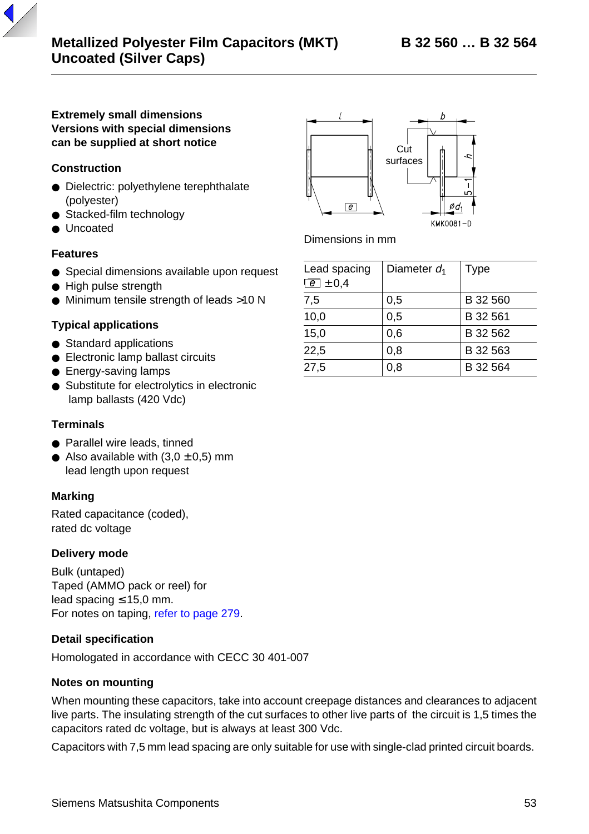### **Extremely small dimensions Versions with special dimensions can be supplied at short notice**

## **Construction**

- Dielectric: polyethylene terephthalate (polyester)
- Stacked-film technology
- Uncoated

#### **Features**

- Special dimensions available upon request
- High pulse strength
- Minimum tensile strength of leads >10 N

#### **Typical applications**

- Standard applications
- Electronic lamp ballast circuits
- Energy-saving lamps
- Substitute for electrolytics in electronic lamp ballasts (420 Vdc)

#### **Terminals**

- Parallel wire leads, tinned
- Also available with  $(3,0 \pm 0,5)$  mm lead length upon request

#### **Marking**

Rated capacitance (coded), rated dc voltage

#### **Delivery mode**

Bulk (untaped) Taped (AMMO pack or reel) for lead spacing ≤ 15,0 mm. For notes on taping, [refer to page 279](#page-1-0).

#### **Detail specification**

Homologated in accordance with CECC 30 401-007

#### **Notes on mounting**

When mounting these capacitors, take into account creepage distances and clearances to adjacent live parts. The insulating strength of the cut surfaces to other live parts of the circuit is 1,5 times the capacitors rated dc voltage, but is always at least 300 Vdc.

Capacitors with 7,5 mm lead spacing are only suitable for use with single-clad printed circuit boards.



Dimensions in mm

| Lead spacing<br>$\boxed{e}$ ± 0.4 | Diameter $d_1$ | Type     |
|-----------------------------------|----------------|----------|
| 7,5                               | 0.5            | B 32 560 |
| 10,0                              | 0.5            | B 32 561 |
| 15,0                              | 0.6            | B 32 562 |
| 22,5                              | 0.8            | B 32 563 |
| 27.5                              | 0.8            | B 32 564 |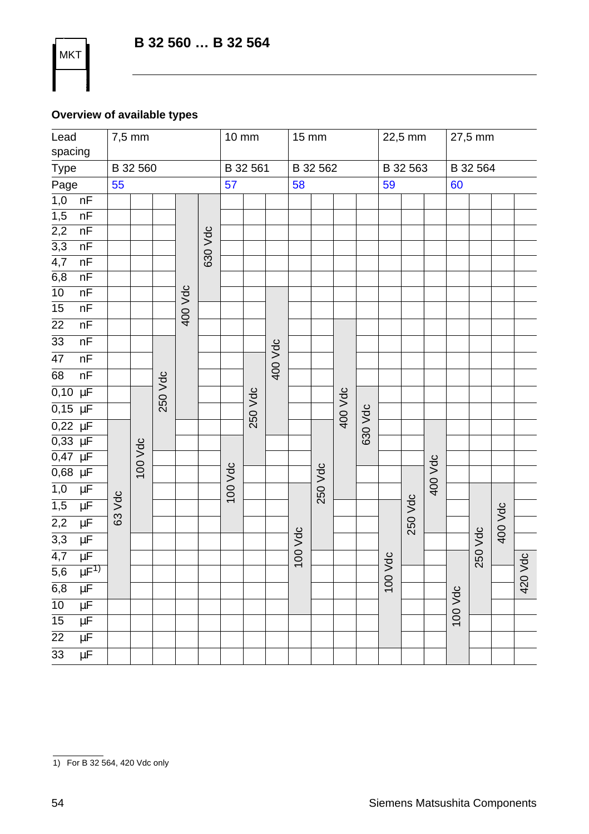# **Overview of available types**

<span id="page-1-0"></span>**MKT** 

| Lead<br>spacing  |                    |        | 7,5 mm   |         |         |                 | 10 mm   |          |         | 15 mm    |         |          |         | 22,5 mm |          |         | 27,5 mm |         |         |         |
|------------------|--------------------|--------|----------|---------|---------|-----------------|---------|----------|---------|----------|---------|----------|---------|---------|----------|---------|---------|---------|---------|---------|
| Type             |                    |        | B 32 560 |         |         |                 |         | B 32 561 |         | B 32 562 |         | B 32 563 |         |         | B 32 564 |         |         |         |         |         |
| Page             |                    | 55     |          |         |         | $\overline{57}$ |         |          |         | 58       |         |          |         | 59      |          |         | 60      |         |         |         |
| $\overline{1,0}$ | nF                 |        |          |         |         |                 |         |          |         |          |         |          |         |         |          |         |         |         |         |         |
| $\overline{1,5}$ | nF                 |        |          |         |         |                 |         |          |         |          |         |          |         |         |          |         |         |         |         |         |
| $\overline{2,2}$ | nF                 |        |          |         |         |                 |         |          |         |          |         |          |         |         |          |         |         |         |         |         |
| $\overline{3,3}$ | nF                 |        |          |         |         | 630 Vdc         |         |          |         |          |         |          |         |         |          |         |         |         |         |         |
| $\overline{4,7}$ | nF                 |        |          |         |         |                 |         |          |         |          |         |          |         |         |          |         |         |         |         |         |
| $\overline{6,8}$ | nF                 |        |          |         |         |                 |         |          |         |          |         |          |         |         |          |         |         |         |         |         |
| $\overline{10}$  | nF                 |        |          |         | 400 Vdc |                 |         |          |         |          |         |          |         |         |          |         |         |         |         |         |
| $\overline{15}$  | nF                 |        |          |         |         |                 |         |          |         |          |         |          |         |         |          |         |         |         |         |         |
| $\overline{22}$  | nF                 |        |          |         |         |                 |         |          |         |          |         |          |         |         |          |         |         |         |         |         |
| $\overline{33}$  | nF                 |        |          |         |         |                 |         |          |         |          |         |          |         |         |          |         |         |         |         |         |
| $\overline{47}$  | nF                 |        |          |         |         |                 |         |          | 400 Vdc |          |         |          |         |         |          |         |         |         |         |         |
| 68               | nF                 |        |          |         |         |                 |         |          |         |          |         |          |         |         |          |         |         |         |         |         |
| 0,10             | $\overline{\mu}$   |        |          | 250 Vdc |         |                 |         |          |         |          |         |          |         |         |          |         |         |         |         |         |
| $0,15$ $\mu$ F   |                    |        |          |         |         |                 |         | 250 Vdc  |         |          |         | 400 Vdc  |         |         |          |         |         |         |         |         |
| $0,22 \mu F$     |                    |        |          |         |         |                 |         |          |         |          |         |          | 630 Vdc |         |          |         |         |         |         |         |
| $0,33 \mu F$     |                    |        |          |         |         |                 |         |          |         |          |         |          |         |         |          |         |         |         |         |         |
| 0,47             | $\overline{\mu}$ F |        | 100 Vdc  |         |         |                 |         |          |         |          |         |          |         |         |          |         |         |         |         |         |
| $0,68$ $\mu$ F   |                    |        |          |         |         |                 | 100 Vdc |          |         |          | 250 Vdc |          |         |         |          | 400 Vdc |         |         |         |         |
| 1,0              | μF                 |        |          |         |         |                 |         |          |         |          |         |          |         |         |          |         |         |         |         |         |
| 1,5              | $\overline{\mu}$ F | 63 Vdc |          |         |         |                 |         |          |         |          |         |          |         |         | 250 Vdc  |         |         |         |         |         |
| $\overline{2,2}$ | $\mu$ F            |        |          |         |         |                 |         |          |         |          |         |          |         |         |          |         |         |         | 400 Vdc |         |
| $\overline{3,3}$ | μF                 |        |          |         |         |                 |         |          |         | 100 Vdc  |         |          |         |         |          |         |         | 250 Vdc |         |         |
| 4,7              | $\mu$ F            |        |          |         |         |                 |         |          |         |          |         |          |         |         |          |         |         |         |         |         |
| $\overline{5,6}$ | $\mu F^{1}$        |        |          |         |         |                 |         |          |         |          |         |          |         |         |          |         |         |         |         |         |
| 6,8              | $\overline{\mu F}$ |        |          |         |         |                 |         |          |         |          |         |          |         | 100 Vdc |          |         |         |         |         | 420 Vdc |
| $\overline{10}$  | $\overline{\mu F}$ |        |          |         |         |                 |         |          |         |          |         |          |         |         |          |         |         |         |         |         |
| $\overline{15}$  | $\overline{\mu}$ F |        |          |         |         |                 |         |          |         |          |         |          |         |         |          |         | 100 Vdc |         |         |         |
| $\overline{22}$  | $\overline{\mu}$ F |        |          |         |         |                 |         |          |         |          |         |          |         |         |          |         |         |         |         |         |
| $\overline{33}$  | $\overline{\mu}$ F |        |          |         |         |                 |         |          |         |          |         |          |         |         |          |         |         |         |         |         |
|                  |                    |        |          |         |         |                 |         |          |         |          |         |          |         |         |          |         |         |         |         |         |

<sup>1)</sup> For B 32 564, 420 Vdc only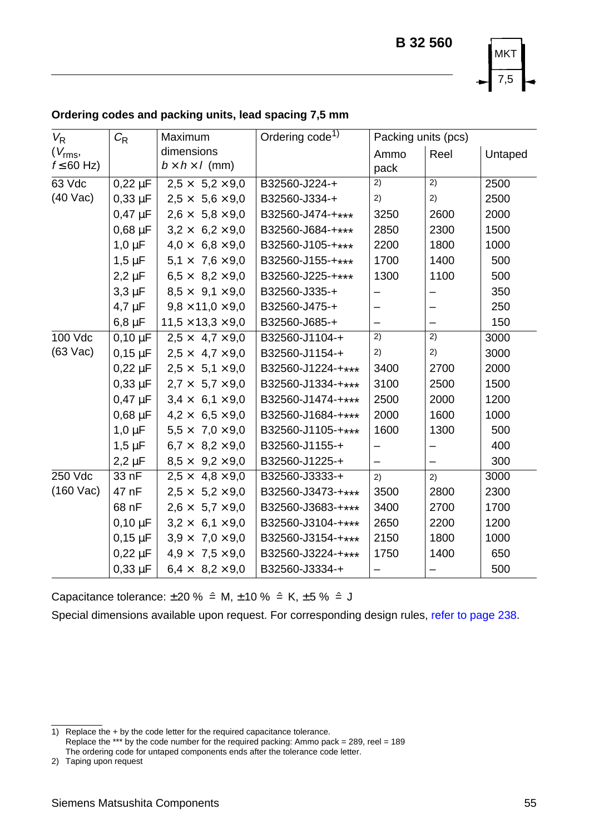

| $V_{\mathsf{R}}$    | $C_{R}$      | Maximum                       | Ordering code <sup>1)</sup> | Packing units (pcs)      |      |         |
|---------------------|--------------|-------------------------------|-----------------------------|--------------------------|------|---------|
| $(V_{\text{rms}},$  |              | dimensions                    |                             | Ammo                     | Reel | Untaped |
| $f \leq 60$ Hz)     |              | $b \times h \times l$ (mm)    |                             | pack                     |      |         |
| 63 Vdc              | $0,22 \mu F$ | $2.5 \times 5.2 \times 9.0$   | B32560-J224-+               | 2)                       | 2)   | 2500    |
| $(40$ Vac)          | $0,33 \mu F$ | $2,5 \times 5,6 \times 9,0$   | B32560-J334-+               | 2)                       | 2)   | 2500    |
|                     | $0,47 \mu F$ | $2,6 \times 5,8 \times 9,0$   | B32560-J474-+***            | 3250                     | 2600 | 2000    |
|                     | $0,68 \mu F$ | $3,2 \times 6,2 \times 9,0$   | B32560-J684-+***            | 2850                     | 2300 | 1500    |
|                     | $1,0 \mu F$  | $4.0 \times 6.8 \times 9.0$   | B32560-J105-+***            | 2200                     | 1800 | 1000    |
|                     | $1,5 \mu F$  | $5.1 \times 7.6 \times 9.0$   | B32560-J155-+***            | 1700                     | 1400 | 500     |
|                     | $2,2 \mu F$  | $6.5 \times 8.2 \times 9.0$   | B32560-J225-+***            | 1300                     | 1100 | 500     |
|                     | $3,3 \mu F$  | $8.5 \times 9.1 \times 9.0$   | B32560-J335-+               | -                        |      | 350     |
|                     | $4.7 \mu F$  | $9.8 \times 11.0 \times 9.0$  | B32560-J475-+               |                          |      | 250     |
|                     | $6,8 \mu F$  | $11.5 \times 13.3 \times 9.0$ | B32560-J685-+               | -                        |      | 150     |
| 100 Vdc             | $0.10 \mu F$ | $2.5 \times 4.7 \times 9.0$   | B32560-J1104-+              | 2)                       | 2)   | 3000    |
| $(63 \text{ Vac})$  | $0,15 \mu F$ | $2.5 \times 4.7 \times 9.0$   | B32560-J1154-+              | 2)                       | 2)   | 3000    |
|                     | $0.22 \mu F$ | $2.5 \times 5.1 \times 9.0$   | B32560-J1224-+***           | 3400                     | 2700 | 2000    |
|                     | $0.33 \mu F$ | $2.7 \times 5.7 \times 9.0$   | B32560-J1334-+***           | 3100                     | 2500 | 1500    |
|                     | $0,47 \mu F$ | $3,4 \times 6,1 \times 9,0$   | B32560-J1474-+***           | 2500                     | 2000 | 1200    |
|                     | $0.68 \mu F$ | $4.2 \times 6.5 \times 9.0$   | B32560-J1684-+***           | 2000                     | 1600 | 1000    |
|                     | $1,0 \mu F$  | $5.5 \times 7.0 \times 9.0$   | B32560-J1105-+***           | 1600                     | 1300 | 500     |
|                     | $1,5 \mu F$  | $6.7 \times 8.2 \times 9.0$   | B32560-J1155-+              | -                        | -    | 400     |
|                     | $2,2 \mu F$  | $8,5 \times 9,2 \times 9,0$   | B32560-J1225-+              | $\overline{\phantom{0}}$ |      | 300     |
| 250 Vdc             | 33 nF        | $2.5 \times 4.8 \times 9.0$   | B32560-J3333-+              | 2)                       | 2)   | 3000    |
| $(160 \text{ Vac})$ | 47 nF        | $2,5 \times 5,2 \times 9,0$   | B32560-J3473-+***           | 3500                     | 2800 | 2300    |
|                     | 68 nF        | $2.6 \times 5.7 \times 9.0$   | B32560-J3683-+***           | 3400                     | 2700 | 1700    |
|                     | $0,10 \mu F$ | $3,2 \times 6,1 \times 9,0$   | B32560-J3104-+***           | 2650                     | 2200 | 1200    |
|                     | $0,15 \mu F$ | $3,9 \times 7,0 \times 9,0$   | B32560-J3154-+***           | 2150                     | 1800 | 1000    |
|                     | $0.22 \mu F$ | $4.9 \times 7.5 \times 9.0$   | B32560-J3224-+***           | 1750                     | 1400 | 650     |
|                     | $0.33 \mu F$ | $6.4 \times 8.2 \times 9.0$   | B32560-J3334-+              |                          |      | 500     |

# <span id="page-2-0"></span>**Ordering codes and packing units, lead spacing 7,5 mm**

Capacitance tolerance:  $\pm 20 \%$   $\hat{=}$  M,  $\pm 10 \%$   $\hat{=}$  K,  $\pm 5 \%$   $\hat{=}$  J

Special dimensions available upon request. For corresponding design rules, [refer to page 238](#page-7-1).

1) Replace the + by the code letter for the required capacitance tolerance.<br>Replace the \*\*\* by the code number for the required packing: Ammo pack = 289, reel = 189 The ordering code for untaped components ends after the tolerance code letter.

2) Taping upon request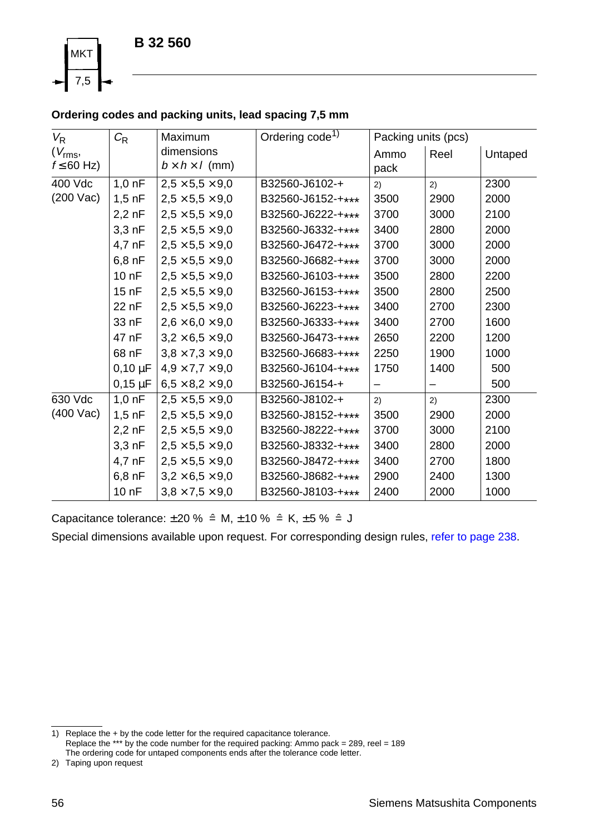

# **Ordering codes and packing units, lead spacing 7,5 mm**

| $V_{\mathsf{R}}$    | $C_{\mathsf{R}}$  | Maximum                     | Ordering code <sup>1)</sup> | Packing units (pcs) |      |         |
|---------------------|-------------------|-----------------------------|-----------------------------|---------------------|------|---------|
| $(V_{\text{rms}},$  |                   | dimensions                  |                             | Ammo                | Reel | Untaped |
| $f \leq 60$ Hz)     |                   | $b \times h \times l$ (mm)  |                             | pack                |      |         |
| 400 Vdc             | $1,0$ nF          | $2.5 \times 5.5 \times 9.0$ | B32560-J6102-+              | 2)                  | 2)   | 2300    |
| $(200 \text{ Vac})$ | $1,5$ nF          | $2.5 \times 5.5 \times 9.0$ | B32560-J6152-+***           | 3500                | 2900 | 2000    |
|                     | $2,2$ nF          | $2,5 \times 5,5 \times 9,0$ | B32560-J6222-+***           | 3700                | 3000 | 2100    |
|                     | 3.3 <sub>nP</sub> | $2.5 \times 5.5 \times 9.0$ | B32560-J6332-+***           | 3400                | 2800 | 2000    |
|                     | 4,7 nF            | $2.5 \times 5.5 \times 9.0$ | B32560-J6472-+***           | 3700                | 3000 | 2000    |
|                     | $6,8$ nF          | $2,5 \times 5,5 \times 9,0$ | B32560-J6682-+***           | 3700                | 3000 | 2000    |
|                     | 10nF              | $2.5 \times 5.5 \times 9.0$ | B32560-J6103-+***           | 3500                | 2800 | 2200    |
|                     | 15 nF             | $2.5 \times 5.5 \times 9.0$ | B32560-J6153-+***           | 3500                | 2800 | 2500    |
|                     | 22 nF             | $2.5 \times 5.5 \times 9.0$ | B32560-J6223-+***           | 3400                | 2700 | 2300    |
|                     | 33 nF             | $2.6 \times 6.0 \times 9.0$ | B32560-J6333-+***           | 3400                | 2700 | 1600    |
|                     | 47 nF             | $3.2 \times 6.5 \times 9.0$ | B32560-J6473-+***           | 2650                | 2200 | 1200    |
|                     | 68 nF             | $3.8 \times 7.3 \times 9.0$ | B32560-J6683-+***           | 2250                | 1900 | 1000    |
|                     | $0,10 \mu F$      | $4.9 \times 7.7 \times 9.0$ | B32560-J6104-+***           | 1750                | 1400 | 500     |
|                     | $0,15 \mu F$      | $6,5 \times 8,2 \times 9,0$ | B32560-J6154-+              |                     |      | 500     |
| 630 Vdc             | $1,0 \nF$         | $2,5 \times 5,5 \times 9,0$ | B32560-J8102-+              | 2)                  | 2)   | 2300    |
| (400 Vac)           | $1,5$ nF          | $2.5 \times 5.5 \times 9.0$ | B32560-J8152-+***           | 3500                | 2900 | 2000    |
|                     | $2,2$ nF          | $2,5 \times 5,5 \times 9,0$ | B32560-J8222-+***           | 3700                | 3000 | 2100    |
|                     | $3,3$ nF          | $2,5 \times 5,5 \times 9,0$ | B32560-J8332-+***           | 3400                | 2800 | 2000    |
|                     | 4,7 nF            | $2,5 \times 5,5 \times 9,0$ | B32560-J8472-+***           | 3400                | 2700 | 1800    |
|                     | $6,8$ nF          | $3,2 \times 6,5 \times 9,0$ | B32560-J8682-+***           | 2900                | 2400 | 1300    |
|                     | 10 nF             | $3,8 \times 7,5 \times 9,0$ | B32560-J8103-+***           | 2400                | 2000 | 1000    |

Capacitance tolerance:  $\pm 20$  %  $\hat{=}$  M,  $\pm 10$  %  $\hat{=}$  K,  $\pm 5$  %  $\hat{=}$  J

Special dimensions available upon request. For corresponding design rules, [refer to page 238](#page-7-1).

2) Taping upon request

<sup>1)</sup> Replace the + by the code letter for the required capacitance tolerance. Replace the \*\*\* by the code number for the required packing: Ammo pack = 289, reel = 189 The ordering code for untaped components ends after the tolerance code letter.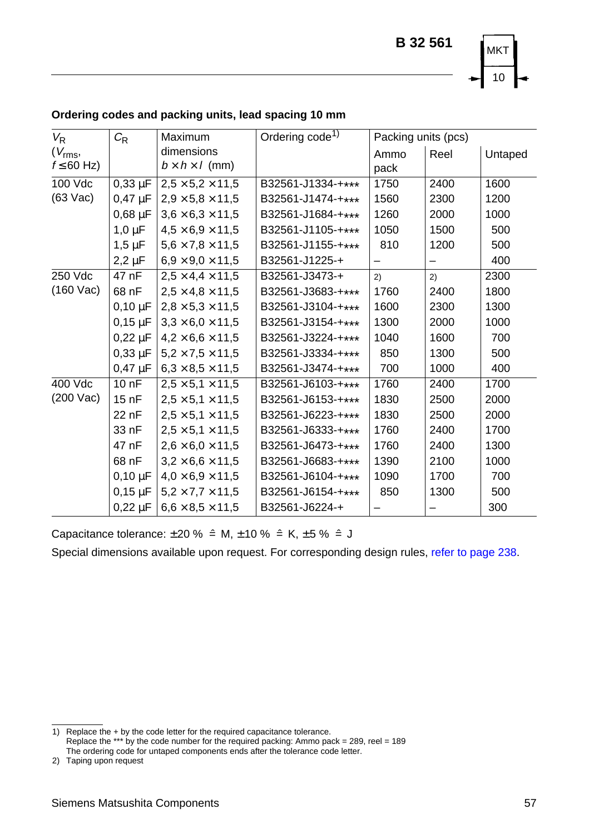

| $V_{\mathsf{R}}$    | $C_{\mathsf{R}}$ | <b>Maximum</b>               | Ordering code <sup>1)</sup> | Packing units (pcs) |      |         |
|---------------------|------------------|------------------------------|-----------------------------|---------------------|------|---------|
| $(V_{\text{rms}},$  |                  | dimensions                   |                             | Ammo                | Reel | Untaped |
| $f \leq 60$ Hz)     |                  | $b \times h \times l$ (mm)   |                             | pack                |      |         |
| 100 Vdc             | $0.33 \mu F$     | $2.5 \times 5.2 \times 11.5$ | B32561-J1334-+***           | 1750                | 2400 | 1600    |
| $(63 \text{ Vac})$  | $0,47 \mu F$     | $2.9 \times 5.8 \times 11.5$ | B32561-J1474-+***           | 1560                | 2300 | 1200    |
|                     | $0,68 \mu F$     | $3,6 \times 6,3 \times 11,5$ | B32561-J1684-+***           | 1260                | 2000 | 1000    |
|                     | $1,0 \mu F$      | $4.5 \times 6.9 \times 11.5$ | B32561-J1105-+***           | 1050                | 1500 | 500     |
|                     | $1,5 \mu F$      | $5.6 \times 7.8 \times 11.5$ | B32561-J1155-+***           | 810                 | 1200 | 500     |
|                     | $2,2 \mu F$      | $6,9 \times 9,0 \times 11,5$ | B32561-J1225-+              |                     |      | 400     |
| 250 Vdc             | 47 nF            | $2.5 \times 4.4 \times 11.5$ | B32561-J3473-+              | 2)                  | 2)   | 2300    |
| $(160 \text{ Vac})$ | 68 nF            | $2.5 \times 4.8 \times 11.5$ | B32561-J3683-+***           | 1760                | 2400 | 1800    |
|                     | $0.10 \mu F$     | $2,8 \times 5,3 \times 11,5$ | B32561-J3104-+***           | 1600                | 2300 | 1300    |
|                     | $0,15 \,\mu F$   | $3.3 \times 6.0 \times 11.5$ | B32561-J3154-+***           | 1300                | 2000 | 1000    |
|                     | $0,22 \mu F$     | $4.2 \times 6.6 \times 11.5$ | B32561-J3224-+***           | 1040                | 1600 | 700     |
|                     | $0,33 \mu F$     | $5,2 \times 7,5 \times 11,5$ | B32561-J3334-+***           | 850                 | 1300 | 500     |
|                     | $0,47 \mu F$     | $6,3 \times 8,5 \times 11,5$ | B32561-J3474-+***           | 700                 | 1000 | 400     |
| 400 Vdc             | 10 nF            | $2.5 \times 5.1 \times 11.5$ | B32561-J6103-+***           | 1760                | 2400 | 1700    |
| $(200 \text{ Vac})$ | 15nF             | $2,5 \times 5,1 \times 11,5$ | B32561-J6153-+***           | 1830                | 2500 | 2000    |
|                     | 22 nF            | $2.5 \times 5.1 \times 11.5$ | B32561-J6223-+***           | 1830                | 2500 | 2000    |
|                     | 33 nF            | $2,5 \times 5,1 \times 11,5$ | B32561-J6333-+***           | 1760                | 2400 | 1700    |
|                     | 47 nF            | $2,6 \times 6,0 \times 11,5$ | B32561-J6473-+***           | 1760                | 2400 | 1300    |
|                     | 68 nF            | $3,2 \times 6,6 \times 11,5$ | B32561-J6683-+***           | 1390                | 2100 | 1000    |
|                     | $0.10 \mu F$     | $4.0 \times 6.9 \times 11.5$ | B32561-J6104-+***           | 1090                | 1700 | 700     |
|                     | $0,15 \mu F$     | $5,2 \times 7,7 \times 11,5$ | B32561-J6154-+***           | 850                 | 1300 | 500     |
|                     | $0.22 \mu F$     | $6.6 \times 8.5 \times 11.5$ | B32561-J6224-+              |                     |      | 300     |

# <span id="page-4-0"></span>**Ordering codes and packing units, lead spacing 10 mm**

Capacitance tolerance:  $\pm 20 \%$   $\hat{=}$  M,  $\pm 10 \%$   $\hat{=}$  K,  $\pm 5 \%$   $\hat{=}$  J

<sup>1)</sup> Replace the + by the code letter for the required capacitance tolerance. Replace the \*\*\* by the code number for the required packing: Ammo pack = 289, reel = 189 The ordering code for untaped components ends after the tolerance code letter.

<sup>2)</sup> Taping upon request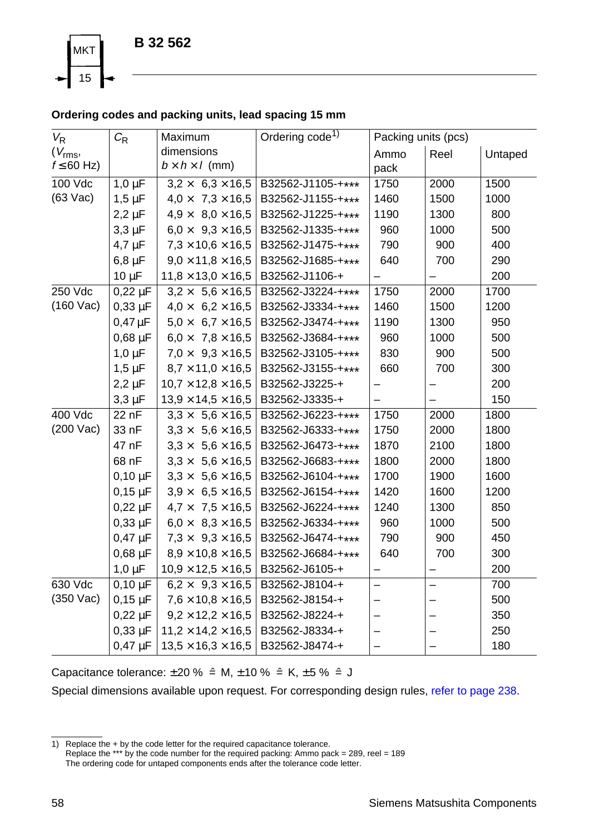<span id="page-5-0"></span>

# **Ordering codes and packing units, lead spacing 15 mm**

| $V_{\mathsf{R}}$    | $C_{\mathsf{R}}$ | Maximum                        | Ordering code <sup>1)</sup> | Packing units (pcs)      |      |         |
|---------------------|------------------|--------------------------------|-----------------------------|--------------------------|------|---------|
| $(V_{\text{rms}},$  |                  | dimensions                     |                             | Ammo<br>Reel             |      | Untaped |
| $f \leq 60$ Hz)     |                  | $b \times h \times l$ (mm)     |                             | pack                     |      |         |
| 100 Vdc             | $1,0 \mu F$      | $3.2 \times 6.3 \times 16.5$   | B32562-J1105-+***           | 1750                     | 2000 | 1500    |
| $(63 \text{ Vac})$  | $1,5 \mu F$      | $4.0 \times 7.3 \times 16.5$   | B32562-J1155-+***           | 1460                     | 1500 | 1000    |
|                     | $2,2 \mu F$      | $4,9 \times 8,0 \times 16,5$   | B32562-J1225-+***           | 1190                     | 1300 | 800     |
|                     | $3,3 \mu F$      | $6.0 \times 9.3 \times 16.5$   | B32562-J1335-+***           | 960                      | 1000 | 500     |
|                     | $4,7 \mu F$      | $7.3 \times 10.6 \times 16.5$  | B32562-J1475-+***           | 790                      | 900  | 400     |
|                     | $6,8 \mu F$      | $9,0 \times 11,8 \times 16,5$  | B32562-J1685-+***           | 640                      | 700  | 290     |
|                     | $10 \mu F$       | $11,8 \times 13,0 \times 16,5$ | B32562-J1106-+              |                          |      | 200     |
| 250 Vdc             | $0,22 \mu F$     | $3.2 \times 5.6 \times 16.5$   | B32562-J3224-+***           | 1750                     | 2000 | 1700    |
| $(160$ Vac)         | $0,33 \mu F$     | $4.0 \times 6.2 \times 16.5$   | B32562-J3334-+***           | 1460                     | 1500 | 1200    |
|                     | $0,47 \mu F$     | $5.0 \times 6.7 \times 16.5$   | B32562-J3474-+***           | 1190                     | 1300 | 950     |
|                     | $0,68 \mu F$     | $6.0 \times 7.8 \times 16.5$   | B32562-J3684-+***           | 960                      | 1000 | 500     |
|                     | $1,0 \mu F$      | $7,0 \times 9,3 \times 16,5$   | B32562-J3105-+***           | 830                      | 900  | 500     |
|                     | $1,5 \mu F$      | $8,7 \times 11,0 \times 16,5$  | B32562-J3155-+***           | 660                      | 700  | 300     |
|                     | $2,2 \mu F$      | $10,7 \times 12,8 \times 16,5$ | B32562-J3225-+              |                          |      | 200     |
|                     | $3,3 \mu F$      | $13,9 \times 14,5 \times 16,5$ | B32562-J3335-+              |                          |      | 150     |
| 400 Vdc             | 22 nF            | $3.3 \times 5.6 \times 16.5$   | B32562-J6223-+***           | 1750                     | 2000 | 1800    |
| $(200 \text{ Vac})$ | 33 nF            | $3.3 \times 5.6 \times 16.5$   | B32562-J6333-+***           | 1750                     | 2000 | 1800    |
|                     | 47 nF            | $3,3 \times 5,6 \times 16,5$   | B32562-J6473-+***           | 1870                     | 2100 | 1800    |
|                     | 68 nF            | $3,3 \times 5,6 \times 16,5$   | B32562-J6683-+***           | 1800                     | 2000 | 1800    |
|                     | $0,10 \mu F$     | $3,3 \times 5,6 \times 16,5$   | B32562-J6104-+***           | 1700                     | 1900 | 1600    |
|                     | $0,15 \mu F$     | $3.9 \times 6.5 \times 16.5$   | B32562-J6154-+***           | 1420                     | 1600 | 1200    |
|                     | $0,22 \mu F$     | $4.7 \times 7.5 \times 16.5$   | B32562-J6224-+***           | 1240                     | 1300 | 850     |
|                     | $0,33 \mu F$     | $6.0 \times 8.3 \times 16.5$   | B32562-J6334-+***           | 960                      | 1000 | 500     |
|                     | $0,47 \mu F$     | $7,3 \times 9,3 \times 16,5$   | B32562-J6474-+***           | 790                      | 900  | 450     |
|                     | $0.68 \mu F$     | $8.9 \times 10.8 \times 16.5$  | B32562-J6684-+***           | 640                      | 700  | 300     |
|                     | $1,0 \mu F$      | $10,9 \times 12,5 \times 16,5$ | B32562-J6105-+              | —                        |      | 200     |
| 630 Vdc             | $0,10 \mu F$     | $6,2 \times 9,3 \times 16,5$   | B32562-J8104-+              | $\overline{\phantom{0}}$ | —    | 700     |
| (350 Vac)           | $0,15 \mu F$     | $7.6 \times 10.8 \times 16.5$  | B32562-J8154-+              |                          |      | 500     |
|                     | $0,22 \mu F$     | $9,2 \times 12,2 \times 16,5$  | B32562-J8224-+              |                          |      | 350     |
|                     | $0,33 \mu F$     | $11,2 \times 14,2 \times 16,5$ | B32562-J8334-+              | -                        |      | 250     |
|                     | $0.47 \mu F$     | $13.5 \times 16.3 \times 16.5$ | B32562-J8474-+              | $\overline{\phantom{0}}$ |      | 180     |

Capacitance tolerance:  $\pm 20 \%$   $\hat{=}$  M,  $\pm 10 \%$   $\hat{=}$  K,  $\pm 5 \%$   $\hat{=}$  J

<sup>1)</sup> Replace the + by the code letter for the required capacitance tolerance. Replace the \*\*\* by the code number for the required packing: Ammo pack = 289, reel = 189 The ordering code for untaped components ends after the tolerance code letter.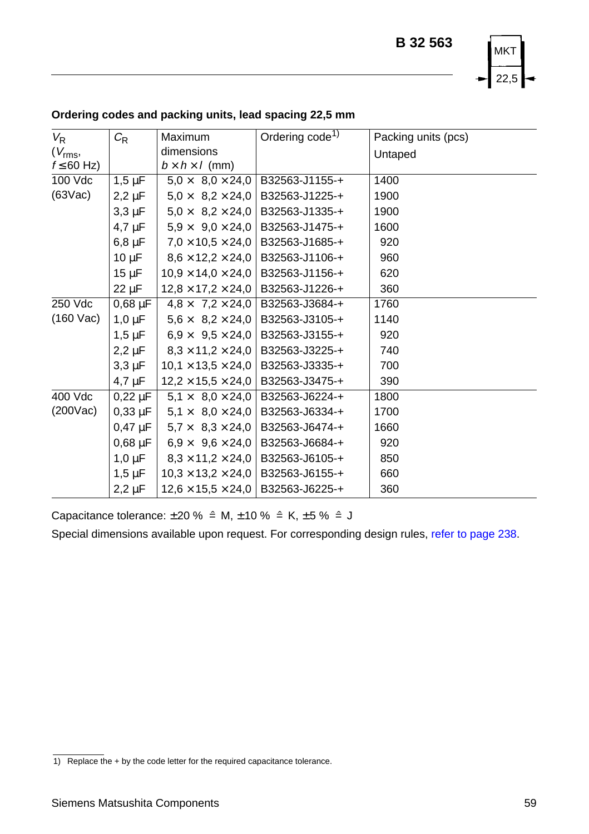

| $V_{\mathsf{R}}$    | $C_{R}$       | Maximum                                       | Ordering code <sup>1)</sup> | Packing units (pcs) |
|---------------------|---------------|-----------------------------------------------|-----------------------------|---------------------|
| $(V_{\text{rms}},$  |               | dimensions                                    |                             | Untaped             |
| $f \leq 60$ Hz)     |               | $b \times h \times l$ (mm)                    |                             |                     |
| 100 Vdc             | $1,5 \mu F$   | $5.0 \times 8.0 \times 24.0$                  | B32563-J1155-+              | 1400                |
| $(63\text{Vac})$    | $2,2 \mu F$   | $5.0 \times 8.2 \times 24.0$                  | B32563-J1225-+              | 1900                |
|                     | $3,3 \,\mu F$ | $5.0 \times 8.2 \times 24.0$                  | B32563-J1335-+              | 1900                |
|                     | $4.7 \mu F$   | $5.9 \times 9.0 \times 24.0$                  | B32563-J1475-+              | 1600                |
|                     | $6,8 \mu F$   | $7.0 \times 10.5 \times 24.0$                 | B32563-J1685-+              | 920                 |
|                     | $10 \mu F$    | $8,6 \times 12,2 \times 24,0$                 | B32563-J1106-+              | 960                 |
|                     | $15 \mu F$    | $10.9 \times 14.0 \times 24.0$                | B32563-J1156-+              | 620                 |
|                     | 22 µF         | $12,8 \times 17,2 \times 24,0$ B32563-J1226-+ |                             | 360                 |
| 250 Vdc             | $0,68 \mu F$  | $4.8 \times 7.2 \times 24.0$                  | B32563-J3684-+              | 1760                |
| $(160 \text{ Vac})$ | $1,0 \mu F$   | $5,6 \times 8,2 \times 24,0$                  | B32563-J3105-+              | 1140                |
|                     | $1,5 \mu F$   | $6.9 \times 9.5 \times 24.0$                  | B32563-J3155-+              | 920                 |
|                     | $2,2 \mu F$   | $8,3\times11,2\times24,0$                     | B32563-J3225-+              | 740                 |
|                     | $3,3 \mu F$   | $10,1 \times 13,5 \times 24,0$                | B32563-J3335-+              | 700                 |
|                     | $4.7 \mu F$   | $12,2 \times 15,5 \times 24,0$                | B32563-J3475-+              | 390                 |
| 400 Vdc             | $0,22 \mu F$  | $5.1 \times 8.0 \times 24.0$                  | B32563-J6224-+              | 1800                |
| $(200\text{Vac})$   | $0,33 \mu F$  | $5.1 \times 8.0 \times 24.0$                  | B32563-J6334-+              | 1700                |
|                     | $0,47 \mu F$  | $5.7 \times 8.3 \times 24.0$                  | B32563-J6474-+              | 1660                |
|                     | $0,68 \mu F$  | $6.9 \times 9.6 \times 24.0$                  | B32563-J6684-+              | 920                 |
|                     | $1,0 \mu F$   | $8,3 \times 11,2 \times 24,0$                 | B32563-J6105-+              | 850                 |
|                     | $1,5 \mu F$   | $10,3 \times 13,2 \times 24,0$                | B32563-J6155-+              | 660                 |
|                     | $2,2 \mu F$   | $12,6 \times 15,5 \times 24,0$                | B32563-J6225-+              | 360                 |

## <span id="page-6-0"></span>**Ordering codes and packing units, lead spacing 22,5 mm**

Capacitance tolerance:  $\pm 20 \%$   $\hat{=}$  M,  $\pm 10 \%$   $\hat{=}$  K,  $\pm 5 \%$   $\hat{=}$  J

<sup>1)</sup> Replace the + by the code letter for the required capacitance tolerance.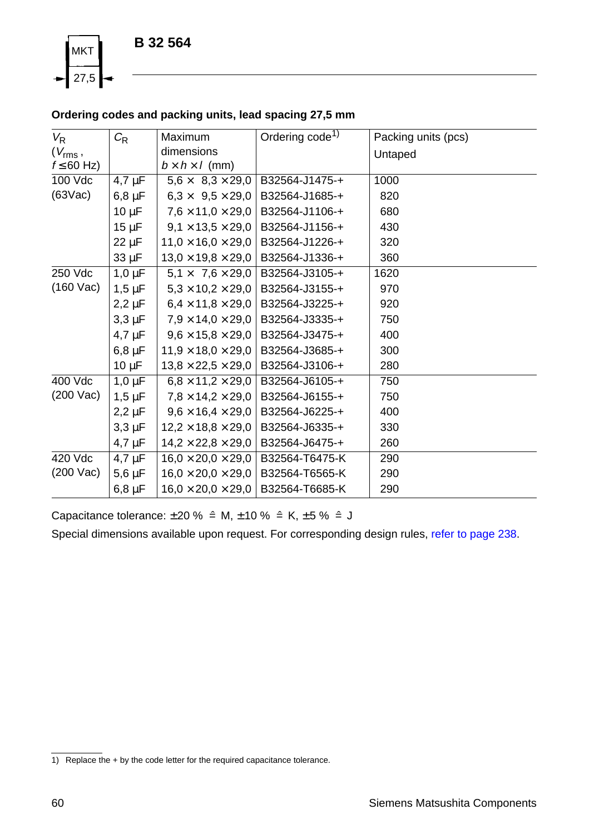<span id="page-7-1"></span><span id="page-7-0"></span>

# **Ordering codes and packing units, lead spacing 27,5 mm**

| $V_{\mathsf{R}}$    | $C_{R}$     | Maximum                        | Ordering code <sup>1)</sup> | Packing units (pcs) |
|---------------------|-------------|--------------------------------|-----------------------------|---------------------|
| $(V_{\rm rms},$     |             | dimensions                     |                             | Untaped             |
| $f \leq 60$ Hz)     |             | $b \times h \times l$ (mm)     |                             |                     |
| 100 Vdc             | $4.7 \mu F$ | $5.6 \times 8.3 \times 29.0$   | B32564-J1475-+              | 1000                |
| $(63\text{Vac})$    | $6,8 \mu F$ | $6.3 \times 9.5 \times 29.0$   | B32564-J1685-+              | 820                 |
|                     | $10 \mu F$  | $7.6 \times 11.0 \times 29.0$  | B32564-J1106-+              | 680                 |
|                     | $15 \mu F$  | $9,1 \times 13,5 \times 29,0$  | B32564-J1156-+              | 430                 |
|                     | $22 \mu F$  | $11.0 \times 16.0 \times 29.0$ | B32564-J1226-+              | 320                 |
|                     | $33 \mu F$  | $13,0 \times 19,8 \times 29,0$ | B32564-J1336-+              | 360                 |
| 250 Vdc             | $1,0 \mu F$ | $5.1 \times 7.6 \times 29.0$   | B32564-J3105-+              | 1620                |
| $(160 \text{ Vac})$ | $1,5 \mu F$ | $5.3 \times 10.2 \times 29.0$  | B32564-J3155-+              | 970                 |
|                     | $2,2 \mu F$ | $6.4 \times 11.8 \times 29.0$  | B32564-J3225-+              | 920                 |
|                     | $3,3 \mu F$ | $7,9 \times 14,0 \times 29,0$  | B32564-J3335-+              | 750                 |
|                     | $4.7 \mu F$ | $9.6 \times 15.8 \times 29.0$  | B32564-J3475-+              | 400                 |
|                     | $6,8 \mu F$ | $11.9 \times 18.0 \times 29.0$ | B32564-J3685-+              | 300                 |
|                     | $10 \mu F$  | $13,8 \times 22,5 \times 29,0$ | B32564-J3106-+              | 280                 |
| 400 Vdc             | $1,0 \mu F$ | $6.8 \times 11.2 \times 29.0$  | B32564-J6105-+              | 750                 |
| $(200 \text{ Vac})$ | $1,5 \mu F$ | $7,8 \times 14,2 \times 29,0$  | B32564-J6155-+              | 750                 |
|                     | $2,2 \mu F$ | $9,6 \times 16,4 \times 29,0$  | B32564-J6225-+              | 400                 |
|                     | $3,3 \mu F$ | $12.2 \times 18.8 \times 29.0$ | B32564-J6335-+              | 330                 |
|                     | $4.7 \mu F$ | $14.2 \times 22.8 \times 29.0$ | B32564-J6475-+              | 260                 |
| 420 Vdc             | $4.7 \mu F$ | $16,0 \times 20,0 \times 29,0$ | B32564-T6475-K              | 290                 |
| $(200 \text{ Vac})$ | $5,6 \mu F$ | $16.0 \times 20.0 \times 29.0$ | B32564-T6565-K              | 290                 |
|                     | $6,8 \mu F$ | $16,0 \times 20,0 \times 29,0$ | B32564-T6685-K              | 290                 |

Capacitance tolerance:  $\pm 20 \%$   $\hat{=}$  M,  $\pm 10 \%$   $\hat{=}$  K,  $\pm 5 \%$   $\hat{=}$  J

<sup>1)</sup> Replace the + by the code letter for the required capacitance tolerance.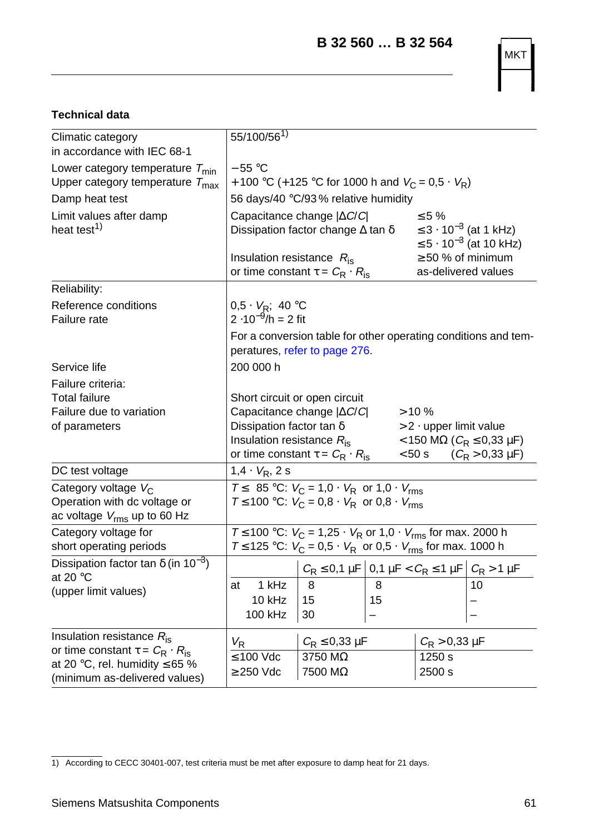**B 32 560 … B 32 564**

MKT

# <span id="page-8-0"></span>**Technical data**

| Climatic category<br>in accordance with IEC 68-1                                    | 55/100/561)                                                                                                                |                                                                       |    |                                               |                                                                |  |
|-------------------------------------------------------------------------------------|----------------------------------------------------------------------------------------------------------------------------|-----------------------------------------------------------------------|----|-----------------------------------------------|----------------------------------------------------------------|--|
|                                                                                     | $-55 °C$                                                                                                                   |                                                                       |    |                                               |                                                                |  |
| Lower category temperature $T_{min}$<br>Upper category temperature $T_{\text{max}}$ | + 100 °C (+ 125 °C for 1000 h and $V_C = 0.5 \cdot V_R$ )                                                                  |                                                                       |    |                                               |                                                                |  |
| Damp heat test                                                                      | 56 days/40 °C/93 % relative humidity                                                                                       |                                                                       |    |                                               |                                                                |  |
| Limit values after damp                                                             | Capacitance change $ \Delta C/C $<br>$\leq 5\%$                                                                            |                                                                       |    |                                               |                                                                |  |
| heat test <sup>1)</sup>                                                             | ≤ 3 · 10 <sup>-3</sup> (at 1 kHz)<br>Dissipation factor change $\Delta$ tan $\delta$<br>≤ 5 · 10 <sup>-3</sup> (at 10 kHz) |                                                                       |    |                                               |                                                                |  |
|                                                                                     | Insulation resistance $R_{\rm is}$                                                                                         | or time constant $\tau = C_{\rm R} \cdot R_{\rm is}$                  |    | $\geq$ 50 % of minimum<br>as-delivered values |                                                                |  |
| Reliability:                                                                        |                                                                                                                            |                                                                       |    |                                               |                                                                |  |
| Reference conditions<br>Failure rate                                                | 0,5 · $V_R$ ; 40 °C<br>2 ·10 <sup>-9</sup> /h = 2 fit                                                                      |                                                                       |    |                                               |                                                                |  |
|                                                                                     |                                                                                                                            | peratures, refer to page 276.                                         |    |                                               | For a conversion table for other operating conditions and tem- |  |
| Service life                                                                        | 200 000 h                                                                                                                  |                                                                       |    |                                               |                                                                |  |
| Failure criteria:                                                                   |                                                                                                                            |                                                                       |    |                                               |                                                                |  |
| <b>Total failure</b>                                                                |                                                                                                                            | Short circuit or open circuit                                         |    |                                               |                                                                |  |
| Failure due to variation                                                            |                                                                                                                            | Capacitance change $ \Delta C/C $                                     |    | >10%                                          |                                                                |  |
| of parameters                                                                       | Dissipation factor tan $\delta$                                                                                            |                                                                       |    | $> 2 \cdot$ upper limit value                 |                                                                |  |
|                                                                                     | Insulation resistance $R_{\text{is}}$                                                                                      |                                                                       |    |                                               | < 150 ΜΩ ( $C_R \le 0.33 \mu$ F)                               |  |
|                                                                                     |                                                                                                                            | or time constant $\tau = C_R \cdot R_{is}$                            |    | $< 50$ s                                      | $(C_R > 0.33 \mu F)$                                           |  |
| DC test voltage                                                                     | $1,4 \cdot V_R, 2 \overline{s}$                                                                                            |                                                                       |    |                                               |                                                                |  |
| Category voltage V <sub>C</sub>                                                     |                                                                                                                            | $T \leq 85^{\circ}$ C: $V_C = 1.0 \cdot V_R$ or $1.0 \cdot V_{rms}$   |    |                                               |                                                                |  |
| Operation with dc voltage or<br>ac voltage $V_{\text{rms}}$ up to 60 Hz             |                                                                                                                            | $T$ ≤ 100 °C: $V_C$ = 0,8 ⋅ $V_R$ or 0,8 ⋅ $V_{rms}$                  |    |                                               |                                                                |  |
| Category voltage for                                                                |                                                                                                                            | $T$ ≤ 100 °C: $V_C$ = 1,25 ⋅ $V_R$ or 1,0 ⋅ $V_{rms}$ for max. 2000 h |    |                                               |                                                                |  |
| short operating periods                                                             |                                                                                                                            | $T$ ≤ 125 °C: $V_C$ = 0,5 ⋅ $V_R$ or 0,5 ⋅ $V_{rms}$ for max. 1000 h  |    |                                               |                                                                |  |
| Dissipation factor tan $\delta$ (in 10 <sup>-3</sup> )<br>at 20 $\degree$ C         |                                                                                                                            | $C_R$ ≤ 0,1 μF $\Big $ 0,1 μF < $C_R$ ≤ 1 μF $\Big $ $C_R$ > 1 μF     |    |                                               |                                                                |  |
| (upper limit values)                                                                | 1 kHz<br>at                                                                                                                | 8                                                                     | 8  |                                               | 10                                                             |  |
|                                                                                     | 10 kHz                                                                                                                     | 15                                                                    | 15 |                                               |                                                                |  |
|                                                                                     | 100 kHz                                                                                                                    | 30                                                                    |    |                                               |                                                                |  |
| Insulation resistance $R_{\text{is}}$                                               | $V_{\mathsf{R}}$                                                                                                           | $C_{\rm R} \leq 0.33$ µF                                              |    | $C_{\rm R}$ > 0,33 $\mu$ F                    |                                                                |  |
| or time constant $\tau = C_{\rm R} \cdot R_{\rm is}$                                | $\leq 100$ Vdc                                                                                                             | 3750 MΩ                                                               |    | 1250 s                                        |                                                                |  |
| at 20 °C, rel. humidity $\leq 65$ %<br>(minimum as-delivered values)                | $\geq$ 250 Vdc                                                                                                             | 7500 MΩ                                                               |    | 2500 s                                        |                                                                |  |

<sup>1)</sup> According to CECC 30401-007, test criteria must be met after exposure to damp heat for 21 days.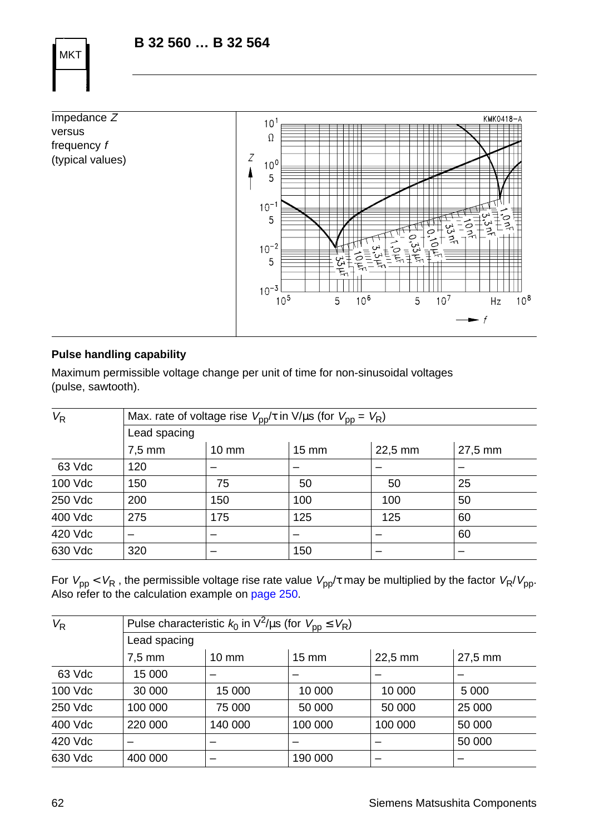# **B 32 560 … B 32 564**

Impedance Z KMK0418-A  $10^1$ versus  $\Omega$ frequency f (typical values) Z  $10<sup>0</sup>$ 5  $10^{-1}$ 5 ا ئ<br>133  $10^{-2}$ 5  $10^{-3}$  $10<sup>5</sup>$  $10<sup>6</sup>$  $10<sup>7</sup>$  $10^{8}$ 5 5  $Hz$  $\overline{f}$ 

## **Pulse handling capability**

MKT

Maximum permissible voltage change per unit of time for non-sinusoidal voltages (pulse, sawtooth).

| $V_{\mathsf{R}}$ |                  | Max. rate of voltage rise $V_{\text{pp}}/\tau$ in V/µs (for $V_{\text{pp}} = V_{\text{R}}$ ) |       |         |         |  |  |  |  |  |
|------------------|------------------|----------------------------------------------------------------------------------------------|-------|---------|---------|--|--|--|--|--|
|                  |                  | Lead spacing                                                                                 |       |         |         |  |  |  |  |  |
|                  | $7.5 \text{ mm}$ | $10 \text{ mm}$                                                                              | 15 mm | 22,5 mm | 27,5 mm |  |  |  |  |  |
| 63 Vdc           | 120              |                                                                                              |       |         |         |  |  |  |  |  |
| 100 Vdc          | 150              | 75                                                                                           | 50    | 50      | 25      |  |  |  |  |  |
| 250 Vdc          | 200              | 150                                                                                          | 100   | 100     | 50      |  |  |  |  |  |
| 400 Vdc          | 275              | 175                                                                                          | 125   | 125     | 60      |  |  |  |  |  |
| 420 Vdc          |                  |                                                                                              |       |         | 60      |  |  |  |  |  |
| 630 Vdc          | 320              |                                                                                              | 150   |         |         |  |  |  |  |  |

For  $V_{\rm pp} < V_R$  , the permissible voltage rise rate value  $V_{\rm pp}/\tau$  may be multiplied by the factor  $V_R/V_{\rm pp}$ . Also refer to the calculation example on [page 250](#page-19-0).

| Lead spacing     |                 |                 |                                                                                |         |  |  |  |  |  |  |
|------------------|-----------------|-----------------|--------------------------------------------------------------------------------|---------|--|--|--|--|--|--|
| $7.5 \text{ mm}$ | $10 \text{ mm}$ | $15 \text{ mm}$ | 22,5 mm                                                                        | 27,5 mm |  |  |  |  |  |  |
| 15 000           |                 |                 |                                                                                |         |  |  |  |  |  |  |
| 30 000           | 15 000          | 10 000          | 10 000                                                                         | 5 0 0 0 |  |  |  |  |  |  |
| 100 000          | 75 000          | 50 000          | 50 000                                                                         | 25 000  |  |  |  |  |  |  |
| 220 000          | 140 000         | 100 000         | 100 000                                                                        | 50 000  |  |  |  |  |  |  |
|                  |                 |                 |                                                                                | 50 000  |  |  |  |  |  |  |
| 400 000          |                 | 190 000         | -                                                                              |         |  |  |  |  |  |  |
|                  |                 |                 | Pulse characteristic $k_0$ in $\sqrt{2}/\mu s$ (for $V_{\text{pp}} \leq V_R$ ) |         |  |  |  |  |  |  |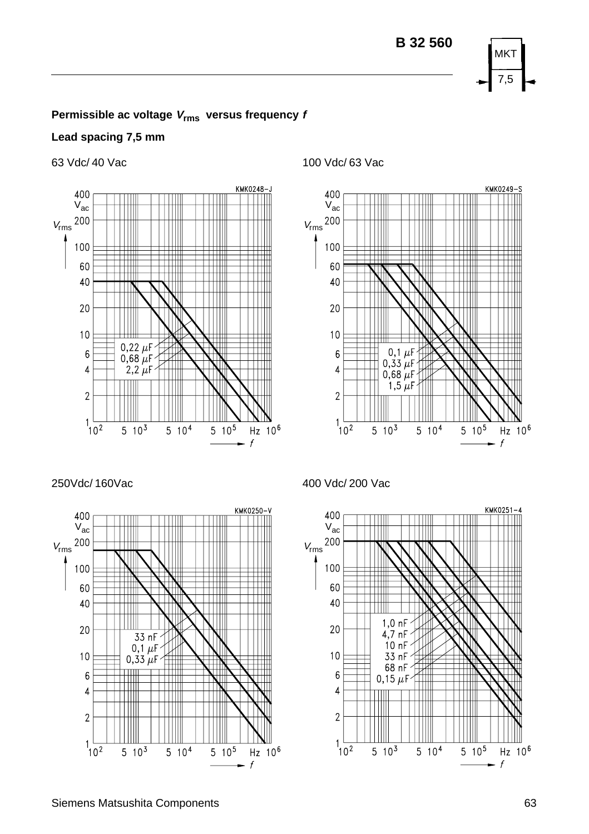

### **Lead spacing 7,5 mm**



63 Vdc/ 40 Vac 100 Vdc/ 63 Vac



250Vdc/ 160Vac 400 Vdc/ 200 Vac



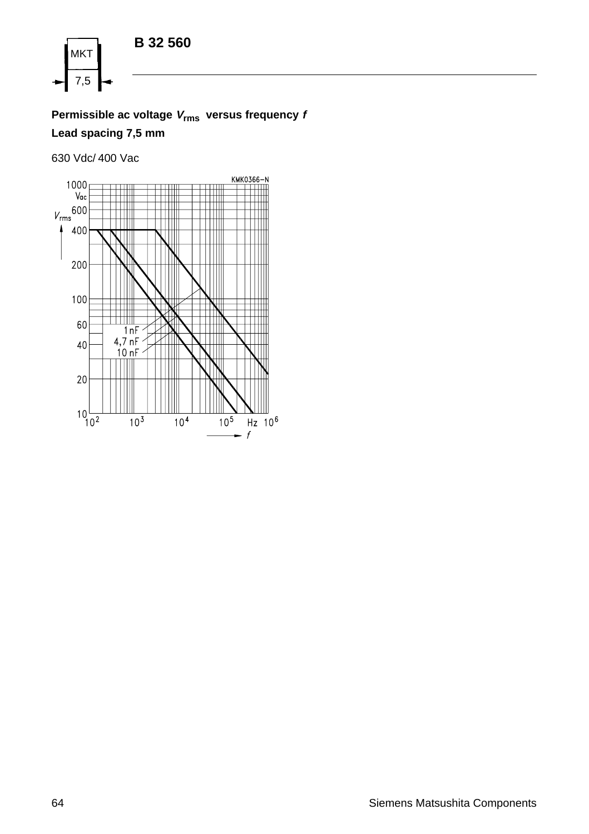

**Permissible ac voltage <sup>V</sup>rms versus frequency <sup>f</sup> Lead spacing 7,5 mm**

630 Vdc/ 400 Vac

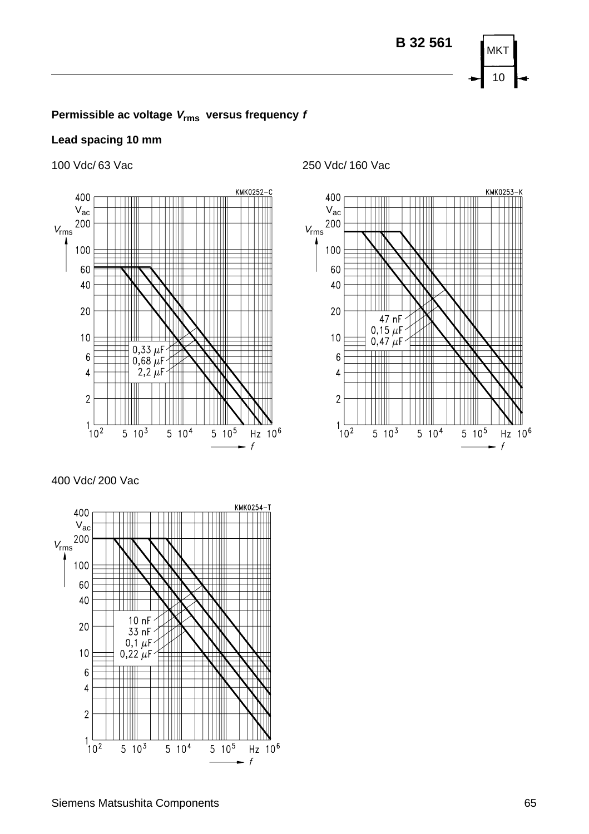## **Lead spacing 10 mm**



400 Vdc/ 200 Vac



100 Vdc/ 63 Vac 250 Vdc/ 160 Vac

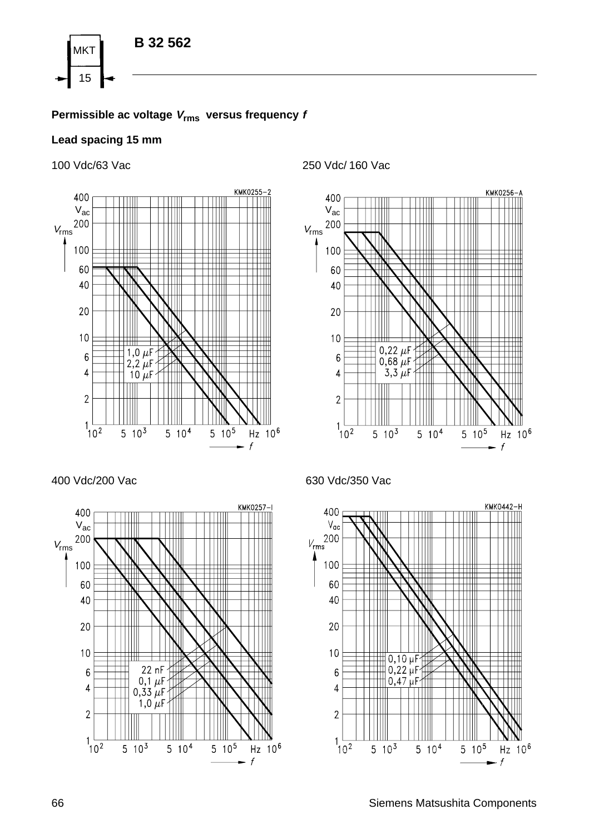

### **Lead spacing 15 mm**



400 Vdc/200 Vac 630 Vdc/350 Vac



100 Vdc/63 Vac 250 Vdc/ 160 Vac





66 Siemens Matsushita Components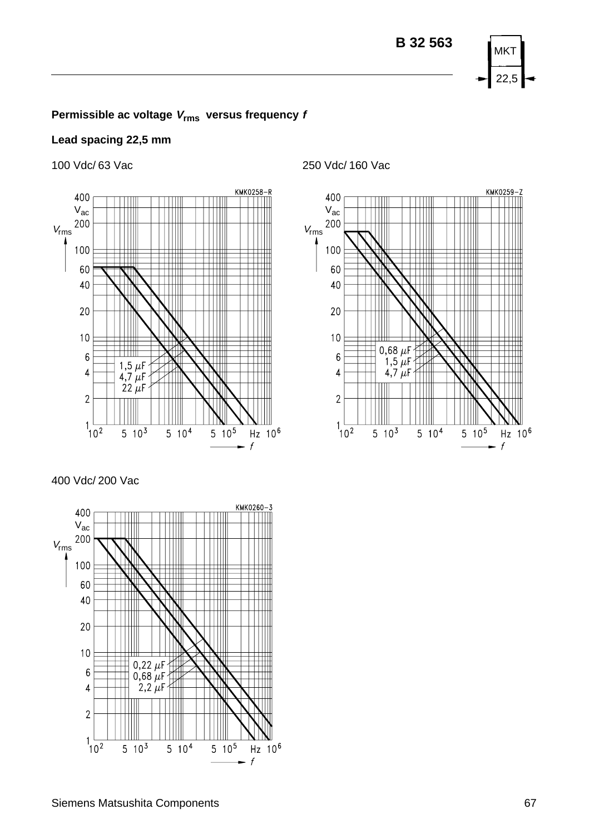

### **Lead spacing 22,5 mm**



400 Vdc/ 200 Vac



100 Vdc/ 63 Vac 250 Vdc/ 160 Vac